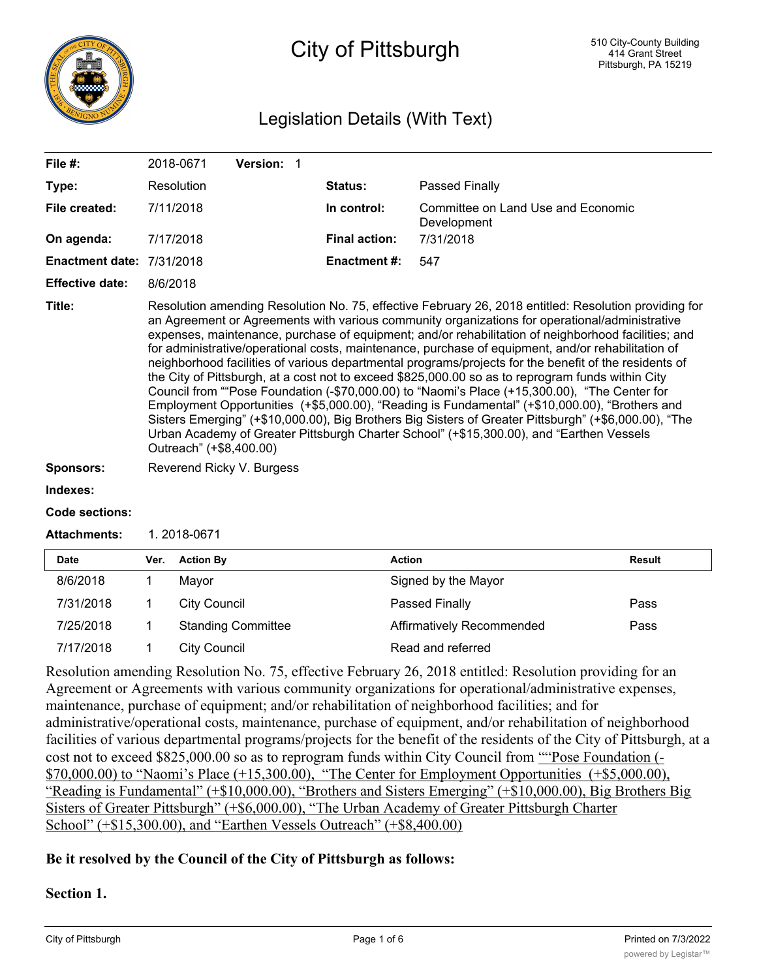

# City of Pittsburgh

## Legislation Details (With Text)

| File #:                          | Version: 1<br>2018-0671                                                                                                                                                                                                                                                                                                                                                                                                                                                                                                                                                                                                                                                                                                                                                                                                                                                                                                                                                                                                                                               |                      |                                                   |  |
|----------------------------------|-----------------------------------------------------------------------------------------------------------------------------------------------------------------------------------------------------------------------------------------------------------------------------------------------------------------------------------------------------------------------------------------------------------------------------------------------------------------------------------------------------------------------------------------------------------------------------------------------------------------------------------------------------------------------------------------------------------------------------------------------------------------------------------------------------------------------------------------------------------------------------------------------------------------------------------------------------------------------------------------------------------------------------------------------------------------------|----------------------|---------------------------------------------------|--|
| Type:                            | Resolution                                                                                                                                                                                                                                                                                                                                                                                                                                                                                                                                                                                                                                                                                                                                                                                                                                                                                                                                                                                                                                                            | Status:              | Passed Finally                                    |  |
| File created:                    | 7/11/2018                                                                                                                                                                                                                                                                                                                                                                                                                                                                                                                                                                                                                                                                                                                                                                                                                                                                                                                                                                                                                                                             | In control:          | Committee on Land Use and Economic<br>Development |  |
| On agenda:                       | 7/17/2018                                                                                                                                                                                                                                                                                                                                                                                                                                                                                                                                                                                                                                                                                                                                                                                                                                                                                                                                                                                                                                                             | <b>Final action:</b> | 7/31/2018                                         |  |
| <b>Enactment date: 7/31/2018</b> |                                                                                                                                                                                                                                                                                                                                                                                                                                                                                                                                                                                                                                                                                                                                                                                                                                                                                                                                                                                                                                                                       | Enactment #:         | 547                                               |  |
| <b>Effective date:</b>           | 8/6/2018                                                                                                                                                                                                                                                                                                                                                                                                                                                                                                                                                                                                                                                                                                                                                                                                                                                                                                                                                                                                                                                              |                      |                                                   |  |
| Title:                           | Resolution amending Resolution No. 75, effective February 26, 2018 entitled: Resolution providing for<br>an Agreement or Agreements with various community organizations for operational/administrative<br>expenses, maintenance, purchase of equipment; and/or rehabilitation of neighborhood facilities; and<br>for administrative/operational costs, maintenance, purchase of equipment, and/or rehabilitation of<br>neighborhood facilities of various departmental programs/projects for the benefit of the residents of<br>the City of Pittsburgh, at a cost not to exceed \$825,000.00 so as to reprogram funds within City<br>Council from ""Pose Foundation (-\$70,000.00) to "Naomi's Place (+15,300.00), "The Center for<br>Employment Opportunities (+\$5,000.00), "Reading is Fundamental" (+\$10,000.00), "Brothers and<br>Sisters Emerging" (+\$10,000.00), Big Brothers Big Sisters of Greater Pittsburgh" (+\$6,000.00), "The<br>Urban Academy of Greater Pittsburgh Charter School" (+\$15,300.00), and "Earthen Vessels<br>Outreach" (+\$8,400.00) |                      |                                                   |  |
| <b>Sponsors:</b>                 | Reverend Ricky V. Burgess                                                                                                                                                                                                                                                                                                                                                                                                                                                                                                                                                                                                                                                                                                                                                                                                                                                                                                                                                                                                                                             |                      |                                                   |  |
| Indexes:                         |                                                                                                                                                                                                                                                                                                                                                                                                                                                                                                                                                                                                                                                                                                                                                                                                                                                                                                                                                                                                                                                                       |                      |                                                   |  |
| Code sections:                   |                                                                                                                                                                                                                                                                                                                                                                                                                                                                                                                                                                                                                                                                                                                                                                                                                                                                                                                                                                                                                                                                       |                      |                                                   |  |

**Attachments:** 1. 2018-0671

| <b>Date</b> | Ver. | <b>Action By</b>          | <b>Action</b>             | Result |
|-------------|------|---------------------------|---------------------------|--------|
| 8/6/2018    |      | Mavor                     | Signed by the Mayor       |        |
| 7/31/2018   |      | City Council              | Passed Finally            | Pass   |
| 7/25/2018   |      | <b>Standing Committee</b> | Affirmatively Recommended | Pass   |
| 7/17/2018   |      | City Council              | Read and referred         |        |

Resolution amending Resolution No. 75, effective February 26, 2018 entitled: Resolution providing for an Agreement or Agreements with various community organizations for operational/administrative expenses, maintenance, purchase of equipment; and/or rehabilitation of neighborhood facilities; and for administrative/operational costs, maintenance, purchase of equipment, and/or rehabilitation of neighborhood facilities of various departmental programs/projects for the benefit of the residents of the City of Pittsburgh, at a cost not to exceed \$825,000.00 so as to reprogram funds within City Council from "Pose Foundation (- $$70,000.00$ ) to "Naomi's Place  $(+15,300.00)$ , "The Center for Employment Opportunities  $(+\$5,000.00)$ , "Reading is Fundamental" (+\$10,000.00), "Brothers and Sisters Emerging" (+\$10,000.00), Big Brothers Big Sisters of Greater Pittsburgh" (+\$6,000.00), "The Urban Academy of Greater Pittsburgh Charter School" (+\$15,300.00), and "Earthen Vessels Outreach" (+\$8,400.00)

### **Be it resolved by the Council of the City of Pittsburgh as follows:**

### **Section 1.**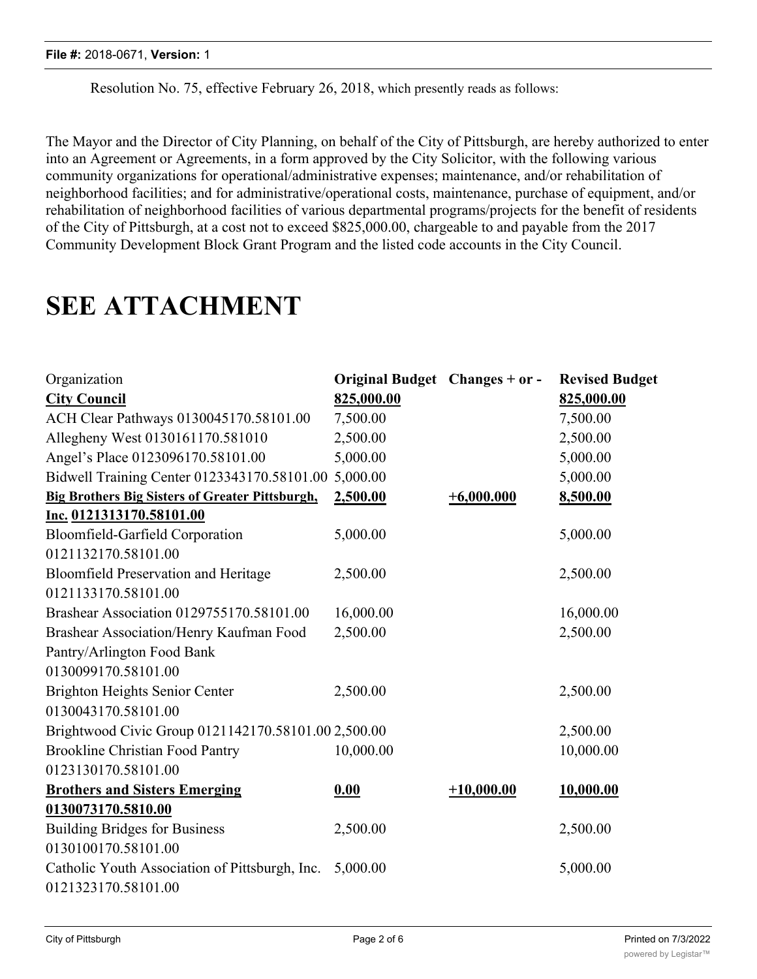Resolution No. 75, effective February 26, 2018, which presently reads as follows:

The Mayor and the Director of City Planning, on behalf of the City of Pittsburgh, are hereby authorized to enter into an Agreement or Agreements, in a form approved by the City Solicitor, with the following various community organizations for operational/administrative expenses; maintenance, and/or rehabilitation of neighborhood facilities; and for administrative/operational costs, maintenance, purchase of equipment, and/or rehabilitation of neighborhood facilities of various departmental programs/projects for the benefit of residents of the City of Pittsburgh, at a cost not to exceed \$825,000.00, chargeable to and payable from the 2017 Community Development Block Grant Program and the listed code accounts in the City Council.

# **SEE ATTACHMENT**

| Organization                                           | Original Budget Changes + or - |              | <b>Revised Budget</b> |
|--------------------------------------------------------|--------------------------------|--------------|-----------------------|
| <b>City Council</b>                                    | 825,000.00                     |              | 825,000.00            |
| ACH Clear Pathways 0130045170.58101.00                 | 7,500.00                       |              | 7,500.00              |
| Allegheny West 0130161170.581010                       | 2,500.00                       |              | 2,500.00              |
| Angel's Place 0123096170.58101.00                      | 5,000.00                       |              | 5,000.00              |
| Bidwell Training Center 0123343170.58101.00 5,000.00   |                                |              | 5,000.00              |
| <b>Big Brothers Big Sisters of Greater Pittsburgh,</b> | 2,500.00                       | $+6,000.000$ | 8,500.00              |
| Inc. 0121313170.58101.00                               |                                |              |                       |
| Bloomfield-Garfield Corporation                        | 5,000.00                       |              | 5,000.00              |
| 0121132170.58101.00                                    |                                |              |                       |
| Bloomfield Preservation and Heritage                   | 2,500.00                       |              | 2,500.00              |
| 0121133170.58101.00                                    |                                |              |                       |
| Brashear Association 0129755170.58101.00               | 16,000.00                      |              | 16,000.00             |
| Brashear Association/Henry Kaufman Food                | 2,500.00                       |              | 2,500.00              |
| Pantry/Arlington Food Bank                             |                                |              |                       |
| 0130099170.58101.00                                    |                                |              |                       |
| <b>Brighton Heights Senior Center</b>                  | 2,500.00                       |              | 2,500.00              |
| 0130043170.58101.00                                    |                                |              |                       |
| Brightwood Civic Group 0121142170.58101.00 2,500.00    |                                |              | 2,500.00              |
| <b>Brookline Christian Food Pantry</b>                 | 10,000.00                      |              | 10,000.00             |
| 0123130170.58101.00                                    |                                |              |                       |
| <b>Brothers and Sisters Emerging</b>                   | 0.00                           | $+10,000.00$ | 10,000.00             |
| 0130073170.5810.00                                     |                                |              |                       |
| <b>Building Bridges for Business</b>                   | 2,500.00                       |              | 2,500.00              |
| 0130100170.58101.00                                    |                                |              |                       |
| Catholic Youth Association of Pittsburgh, Inc.         | 5,000.00                       |              | 5,000.00              |
| 0121323170.58101.00                                    |                                |              |                       |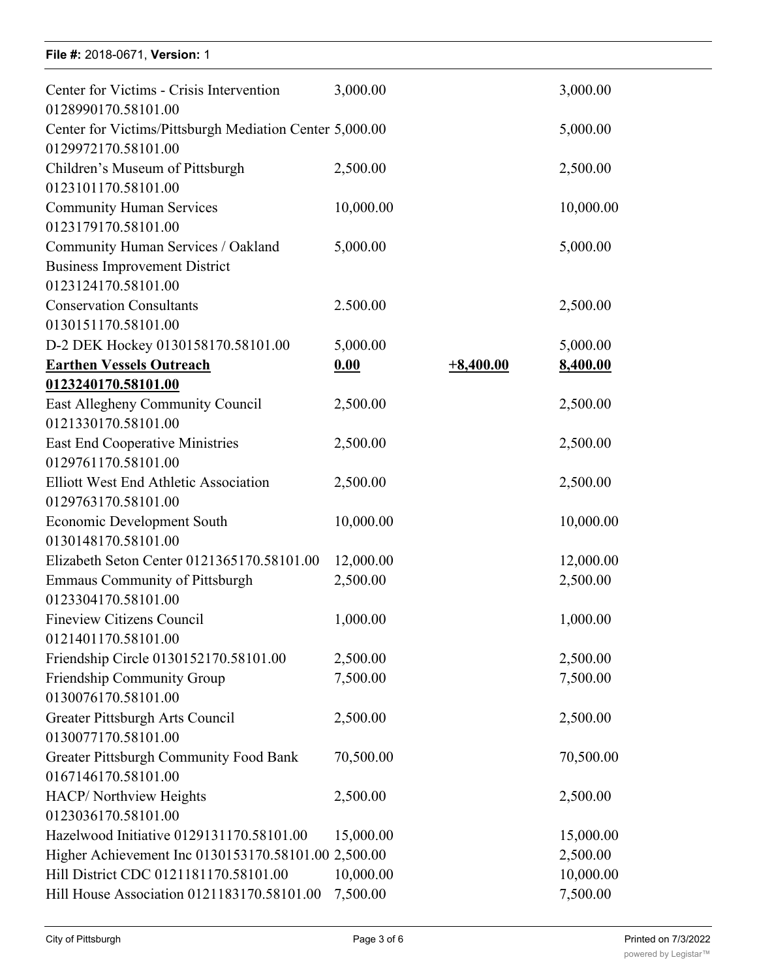### **File #:** 2018-0671, **Version:** 1

| Center for Victims - Crisis Intervention                                       | 3,000.00  |             | 3,000.00  |
|--------------------------------------------------------------------------------|-----------|-------------|-----------|
| 0128990170.58101.00<br>Center for Victims/Pittsburgh Mediation Center 5,000.00 |           |             | 5,000.00  |
| 0129972170.58101.00                                                            |           |             |           |
| Children's Museum of Pittsburgh                                                | 2,500.00  |             | 2,500.00  |
| 0123101170.58101.00                                                            |           |             |           |
| <b>Community Human Services</b>                                                | 10,000.00 |             | 10,000.00 |
| 0123179170.58101.00                                                            |           |             |           |
| Community Human Services / Oakland                                             | 5,000.00  |             | 5,000.00  |
| <b>Business Improvement District</b>                                           |           |             |           |
| 0123124170.58101.00                                                            |           |             |           |
| <b>Conservation Consultants</b>                                                | 2.500.00  |             | 2,500.00  |
| 0130151170.58101.00                                                            |           |             |           |
| D-2 DEK Hockey 0130158170.58101.00                                             | 5,000.00  |             | 5,000.00  |
| <b>Earthen Vessels Outreach</b>                                                | 0.00      | $+8,400.00$ | 8,400.00  |
| 0123240170.58101.00                                                            |           |             |           |
| East Allegheny Community Council                                               | 2,500.00  |             | 2,500.00  |
| 0121330170.58101.00                                                            |           |             |           |
| <b>East End Cooperative Ministries</b>                                         | 2,500.00  |             | 2,500.00  |
| 0129761170.58101.00                                                            |           |             |           |
| <b>Elliott West End Athletic Association</b>                                   | 2,500.00  |             | 2,500.00  |
| 0129763170.58101.00                                                            |           |             |           |
| <b>Economic Development South</b>                                              | 10,000.00 |             | 10,000.00 |
| 0130148170.58101.00                                                            |           |             |           |
| Elizabeth Seton Center 0121365170.58101.00                                     | 12,000.00 |             | 12,000.00 |
| Emmaus Community of Pittsburgh                                                 | 2,500.00  |             | 2,500.00  |
| 0123304170.58101.00                                                            |           |             |           |
| Fineview Citizens Council                                                      | 1,000.00  |             | 1,000.00  |
| 0121401170.58101.00                                                            |           |             |           |
| Friendship Circle 0130152170.58101.00                                          | 2,500.00  |             | 2,500.00  |
| Friendship Community Group                                                     | 7,500.00  |             | 7,500.00  |
| 0130076170.58101.00                                                            |           |             |           |
| Greater Pittsburgh Arts Council                                                | 2,500.00  |             | 2,500.00  |
| 0130077170.58101.00                                                            |           |             |           |
| <b>Greater Pittsburgh Community Food Bank</b>                                  | 70,500.00 |             | 70,500.00 |
| 0167146170.58101.00                                                            |           |             |           |
| HACP/ Northview Heights                                                        | 2,500.00  |             | 2,500.00  |
| 0123036170.58101.00                                                            |           |             |           |
| Hazelwood Initiative 0129131170.58101.00                                       | 15,000.00 |             | 15,000.00 |
| Higher Achievement Inc 0130153170.58101.00 2,500.00                            |           |             | 2,500.00  |
| Hill District CDC 0121181170.58101.00                                          | 10,000.00 |             | 10,000.00 |
| Hill House Association 0121183170.58101.00                                     | 7,500.00  |             | 7,500.00  |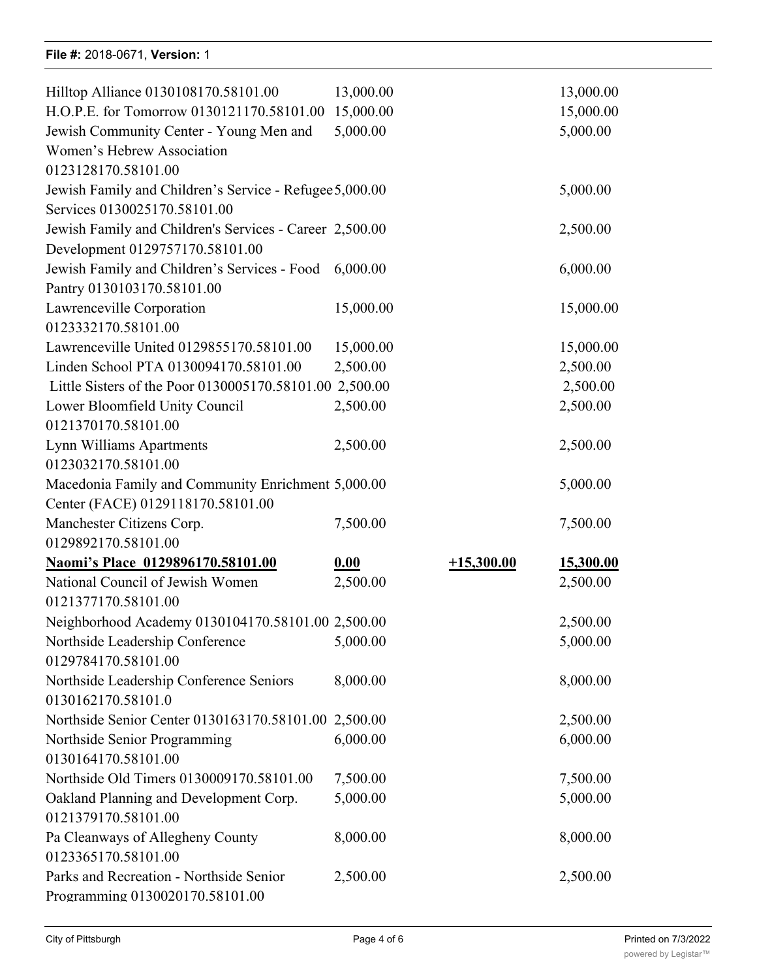### **File #:** 2018-0671, Version: 1

| Hilltop Alliance 0130108170.58101.00                    | 13,000.00 |              | 13,000.00        |
|---------------------------------------------------------|-----------|--------------|------------------|
| H.O.P.E. for Tomorrow 0130121170.58101.00               | 15,000.00 |              | 15,000.00        |
| Jewish Community Center - Young Men and                 | 5,000.00  |              | 5,000.00         |
| Women's Hebrew Association                              |           |              |                  |
| 0123128170.58101.00                                     |           |              |                  |
| Jewish Family and Children's Service - Refugee 5,000.00 |           |              | 5,000.00         |
| Services 0130025170.58101.00                            |           |              |                  |
| Jewish Family and Children's Services - Career 2,500.00 |           |              | 2,500.00         |
| Development 0129757170.58101.00                         |           |              |                  |
| Jewish Family and Children's Services - Food            | 6,000.00  |              | 6,000.00         |
| Pantry 0130103170.58101.00                              |           |              |                  |
| Lawrenceville Corporation                               | 15,000.00 |              | 15,000.00        |
| 0123332170.58101.00                                     |           |              |                  |
| Lawrenceville United 0129855170.58101.00                | 15,000.00 |              | 15,000.00        |
| Linden School PTA 0130094170.58101.00                   | 2,500.00  |              | 2,500.00         |
| Little Sisters of the Poor 0130005170.58101.00 2,500.00 |           |              | 2,500.00         |
| Lower Bloomfield Unity Council                          | 2,500.00  |              | 2,500.00         |
| 0121370170.58101.00                                     |           |              |                  |
| Lynn Williams Apartments                                | 2,500.00  |              | 2,500.00         |
| 0123032170.58101.00                                     |           |              |                  |
| Macedonia Family and Community Enrichment 5,000.00      |           |              | 5,000.00         |
| Center (FACE) 0129118170.58101.00                       |           |              |                  |
| Manchester Citizens Corp.                               | 7,500.00  |              | 7,500.00         |
| 0129892170.58101.00                                     |           |              |                  |
| Naomi's Place 0129896170.58101.00                       | 0.00      | $+15,300.00$ | <u>15,300.00</u> |
| National Council of Jewish Women                        | 2,500.00  |              | 2,500.00         |
| 0121377170.58101.00                                     |           |              |                  |
| Neighborhood Academy 0130104170.58101.00 2,500.00       |           |              | 2,500.00         |
| Northside Leadership Conference                         | 5,000.00  |              | 5,000.00         |
| 0129784170.58101.00                                     |           |              |                  |
| Northside Leadership Conference Seniors                 | 8,000.00  |              | 8,000.00         |
| 0130162170.58101.0                                      |           |              |                  |
| Northside Senior Center 0130163170.58101.00 2,500.00    |           |              | 2,500.00         |
| Northside Senior Programming                            | 6,000.00  |              | 6,000.00         |
| 0130164170.58101.00                                     |           |              |                  |
| Northside Old Timers 0130009170.58101.00                | 7,500.00  |              | 7,500.00         |
| Oakland Planning and Development Corp.                  | 5,000.00  |              | 5,000.00         |
| 0121379170.58101.00                                     |           |              |                  |
| Pa Cleanways of Allegheny County                        | 8,000.00  |              | 8,000.00         |
| 0123365170.58101.00                                     |           |              |                  |
| Parks and Recreation - Northside Senior                 | 2,500.00  |              | 2,500.00         |
| Programming 0130020170.58101.00                         |           |              |                  |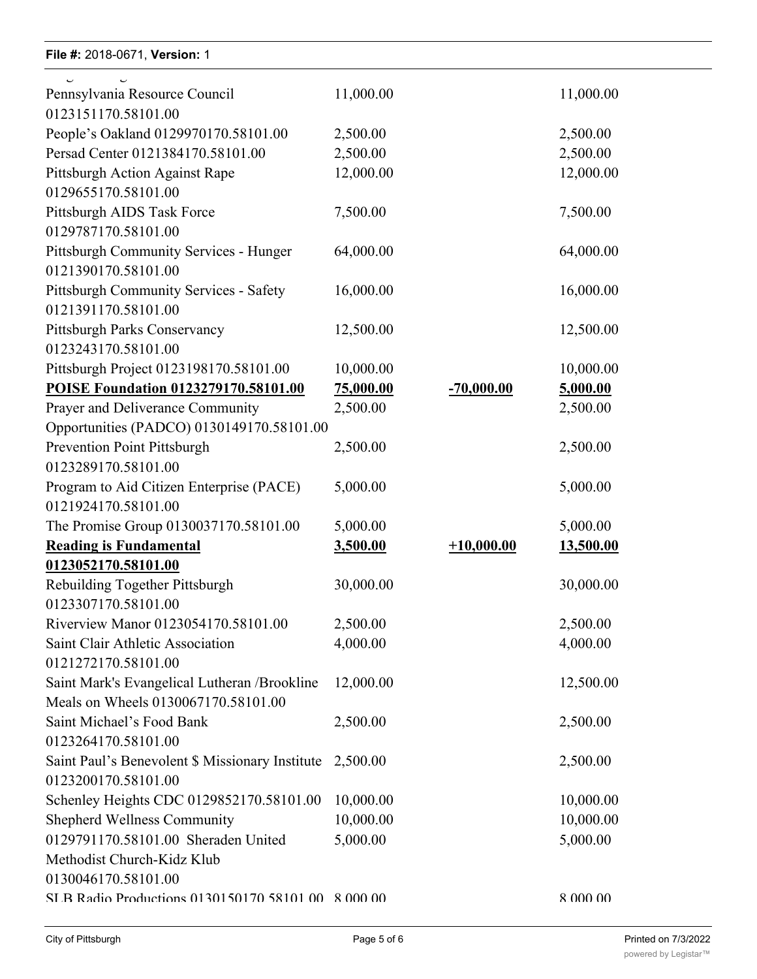### **File #:** 2018-0671, Version: 1

0123365170.58101.00

| Pennsylvania Resource Council                                 | 11,000.00 |              | 11,000.00 |
|---------------------------------------------------------------|-----------|--------------|-----------|
| 0123151170.58101.00                                           |           |              |           |
| People's Oakland 0129970170.58101.00                          | 2,500.00  |              | 2,500.00  |
| Persad Center 0121384170.58101.00                             | 2,500.00  |              | 2,500.00  |
| Pittsburgh Action Against Rape                                | 12,000.00 |              | 12,000.00 |
| 0129655170.58101.00                                           |           |              |           |
| Pittsburgh AIDS Task Force                                    | 7,500.00  |              | 7,500.00  |
| 0129787170.58101.00                                           |           |              |           |
| Pittsburgh Community Services - Hunger<br>0121390170.58101.00 | 64,000.00 |              | 64,000.00 |
| Pittsburgh Community Services - Safety                        | 16,000.00 |              | 16,000.00 |
| 0121391170.58101.00                                           |           |              |           |
| Pittsburgh Parks Conservancy                                  | 12,500.00 |              | 12,500.00 |
| 0123243170.58101.00                                           |           |              |           |
| Pittsburgh Project 0123198170.58101.00                        | 10,000.00 |              | 10,000.00 |
| POISE Foundation 0123279170.58101.00                          | 75,000.00 | $-70,000.00$ | 5,000.00  |
| Prayer and Deliverance Community                              | 2,500.00  |              | 2,500.00  |
| Opportunities (PADCO) 0130149170.58101.00                     |           |              |           |
| Prevention Point Pittsburgh                                   | 2,500.00  |              | 2,500.00  |
| 0123289170.58101.00                                           |           |              |           |
| Program to Aid Citizen Enterprise (PACE)                      | 5,000.00  |              | 5,000.00  |
| 0121924170.58101.00                                           |           |              |           |
| The Promise Group 0130037170.58101.00                         | 5,000.00  |              | 5,000.00  |
| <b>Reading is Fundamental</b>                                 | 3,500.00  | $+10,000.00$ | 13,500.00 |
| 0123052170.58101.00                                           |           |              |           |
| Rebuilding Together Pittsburgh                                | 30,000.00 |              | 30,000.00 |
| 0123307170.58101.00                                           |           |              |           |
| Riverview Manor 0123054170.58101.00                           | 2,500.00  |              | 2,500.00  |
| Saint Clair Athletic Association                              | 4,000.00  |              | 4,000.00  |
| 0121272170.58101.00                                           |           |              |           |
| Saint Mark's Evangelical Lutheran /Brookline                  | 12,000.00 |              | 12,500.00 |
| Meals on Wheels 0130067170.58101.00                           |           |              |           |
| Saint Michael's Food Bank                                     | 2,500.00  |              | 2,500.00  |
| 0123264170.58101.00                                           |           |              |           |
| Saint Paul's Benevolent \$ Missionary Institute               | 2,500.00  |              | 2,500.00  |
| 0123200170.58101.00                                           |           |              |           |
| Schenley Heights CDC 0129852170.58101.00                      | 10,000.00 |              | 10,000.00 |
| <b>Shepherd Wellness Community</b>                            | 10,000.00 |              | 10,000.00 |
| 0129791170.58101.00 Sheraden United                           | 5,000.00  |              | 5,000.00  |
| Methodist Church-Kidz Klub                                    |           |              |           |
| 0130046170.58101.00                                           |           |              |           |
| SLB Radio Productions 0130150170.58101.00 8.000.00            |           |              | 8.000.00  |
|                                                               |           |              |           |